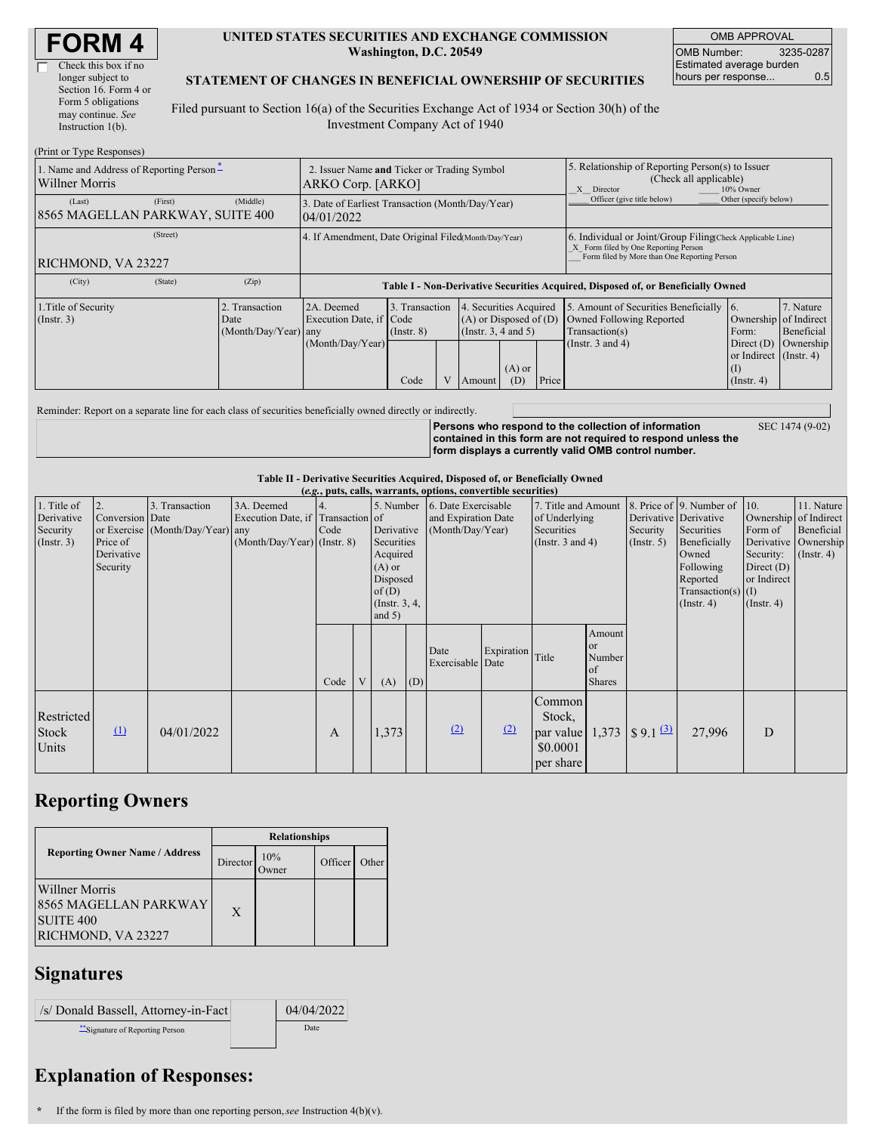| <b>FORM4</b> |
|--------------|
|--------------|

 $\Box$ 

| Check this box if no  |
|-----------------------|
| longer subject to     |
| Section 16. Form 4 or |
| Form 5 obligations    |
| may continue. See     |
| Instruction $1(b)$ .  |
|                       |

#### **UNITED STATES SECURITIES AND EXCHANGE COMMISSION Washington, D.C. 20549**

OMB APPROVAL OMB Number: 3235-0287 Estimated average burden hours per response... 0.5

### **STATEMENT OF CHANGES IN BENEFICIAL OWNERSHIP OF SECURITIES**

Filed pursuant to Section 16(a) of the Securities Exchange Act of 1934 or Section 30(h) of the Investment Company Act of 1940

| (Print or Type Responses)                                  |                                                                  |                                                                                  |                                           |  |                                                                                            |                            |                                                                                                                                                    |                                                                                                             |                                                                                                                    |                         |
|------------------------------------------------------------|------------------------------------------------------------------|----------------------------------------------------------------------------------|-------------------------------------------|--|--------------------------------------------------------------------------------------------|----------------------------|----------------------------------------------------------------------------------------------------------------------------------------------------|-------------------------------------------------------------------------------------------------------------|--------------------------------------------------------------------------------------------------------------------|-------------------------|
| 1. Name and Address of Reporting Person-<br>Willner Morris | 2. Issuer Name and Ticker or Trading Symbol<br>ARKO Corp. [ARKO] |                                                                                  |                                           |  |                                                                                            |                            | 5. Relationship of Reporting Person(s) to Issuer<br>(Check all applicable)<br>X Director<br>10% Owner                                              |                                                                                                             |                                                                                                                    |                         |
| (Last)<br>(First)<br>8565 MAGELLAN PARKWAY, SUITE 400      | 3. Date of Earliest Transaction (Month/Day/Year)<br>04/01/2022   |                                                                                  |                                           |  |                                                                                            | Officer (give title below) | Other (specify below)                                                                                                                              |                                                                                                             |                                                                                                                    |                         |
| (Street)<br>RICHMOND, VA 23227                             | 4. If Amendment, Date Original Filed(Month/Day/Year)             |                                                                                  |                                           |  |                                                                                            |                            | 6. Individual or Joint/Group Filing Check Applicable Line)<br>X Form filed by One Reporting Person<br>Form filed by More than One Reporting Person |                                                                                                             |                                                                                                                    |                         |
| (City)<br>(State)                                          | (Zip)                                                            | Table I - Non-Derivative Securities Acquired, Disposed of, or Beneficially Owned |                                           |  |                                                                                            |                            |                                                                                                                                                    |                                                                                                             |                                                                                                                    |                         |
| 1. Title of Security<br>(Insert. 3)                        | 2. Transaction<br>Date<br>(Month/Day/Year) any                   | 2A. Deemed<br>Execution Date, if Code<br>(Month/Day/Year)                        | 3. Transaction<br>$($ Instr. $8)$<br>Code |  | 4. Securities Acquired<br>$(A)$ or Disposed of $(D)$<br>(Instr. $3, 4$ and $5$ )<br>Amount | $(A)$ or<br>(D)            | Price                                                                                                                                              | 5. Amount of Securities Beneficially<br>Owned Following Reported<br>Transaction(s)<br>(Instr. $3$ and $4$ ) | 16.<br>Ownership of Indirect<br>Form:<br>Direct (D) Ownership<br>or Indirect (Instr. 4)<br>(1)<br>$($ Instr. 4 $)$ | 7. Nature<br>Beneficial |

Reminder: Report on a separate line for each class of securities beneficially owned directly or indirectly.

**Persons who respond to the collection of information contained in this form are not required to respond unless the form displays a currently valid OMB control number.** SEC 1474 (9-02)

**Table II - Derivative Securities Acquired, Disposed of, or Beneficially Owned**

| (e.g., puts, calls, warrants, options, convertible securities) |                                                             |                                                    |                                                                                  |      |   |                               |                                                                                                                                                    |                          |                                                                             |                                                                |                                                       |                                                                                                                                       |                                                                                             |                                                                   |  |
|----------------------------------------------------------------|-------------------------------------------------------------|----------------------------------------------------|----------------------------------------------------------------------------------|------|---|-------------------------------|----------------------------------------------------------------------------------------------------------------------------------------------------|--------------------------|-----------------------------------------------------------------------------|----------------------------------------------------------------|-------------------------------------------------------|---------------------------------------------------------------------------------------------------------------------------------------|---------------------------------------------------------------------------------------------|-------------------------------------------------------------------|--|
| 1. Title of<br>Derivative<br>Security<br>$($ Instr. 3 $)$      | 2.<br>Conversion Date<br>Price of<br>Derivative<br>Security | 3. Transaction<br>or Exercise (Month/Day/Year) any | 3A. Deemed<br>Execution Date, if Transaction of<br>$(Month/Day/Year)$ (Instr. 8) | Code |   | $(A)$ or<br>of(D)<br>and $5)$ | 5. Number 6. Date Exercisable<br>and Expiration Date<br>(Month/Day/Year)<br>Derivative<br>Securities<br>Acquired<br>Disposed<br>$($ Instr. $3, 4,$ |                          | 7. Title and Amount<br>of Underlying<br>Securities<br>(Instr. $3$ and $4$ ) |                                                                | Derivative Derivative<br>Security<br>$($ Instr. 5 $)$ | 8. Price of 9. Number of 10.<br>Securities<br>Beneficially<br>Owned<br>Following<br>Reported<br>Transaction(s) $(I)$<br>$($ Instr. 4) | Ownership of Indirect<br>Form of<br>Security:<br>Direct $(D)$<br>or Indirect<br>(Insert. 4) | 11. Nature<br>Beneficial<br>Derivative Ownership<br>$($ Instr. 4) |  |
|                                                                |                                                             |                                                    |                                                                                  | Code | V | (A)                           | (D)                                                                                                                                                | Date<br>Exercisable Date | Expiration Title                                                            |                                                                | Amount<br>or<br>Number<br>of<br><b>Shares</b>         |                                                                                                                                       |                                                                                             |                                                                   |  |
| Restricted<br>Stock<br>Units                                   | $\Omega$                                                    | 04/01/2022                                         |                                                                                  | A    |   | 1,373                         |                                                                                                                                                    | (2)                      | (2)                                                                         | Common<br>Stock,<br>par value $1,373$<br>\$0.0001<br>per share |                                                       | $\frac{1}{9.1}$ (3)                                                                                                                   | 27,996                                                                                      | D                                                                 |  |

## **Reporting Owners**

|                                                                                              | <b>Relationships</b> |                      |         |       |  |  |  |
|----------------------------------------------------------------------------------------------|----------------------|----------------------|---------|-------|--|--|--|
| <b>Reporting Owner Name / Address</b>                                                        | Director             | 10%<br><b>J</b> wner | Officer | Other |  |  |  |
| <b>Willner Morris</b><br>8565 MAGELLAN PARKWAY<br>SUITE <sub>400</sub><br>RICHMOND, VA 23227 | X                    |                      |         |       |  |  |  |

# **Signatures**

| /s/ Donald Bassell, Attorney-in-Fact | 04/04/2022 |
|--------------------------------------|------------|
| Signature of Reporting Person        | Date       |

# **Explanation of Responses:**

**\*** If the form is filed by more than one reporting person,*see* Instruction 4(b)(v).